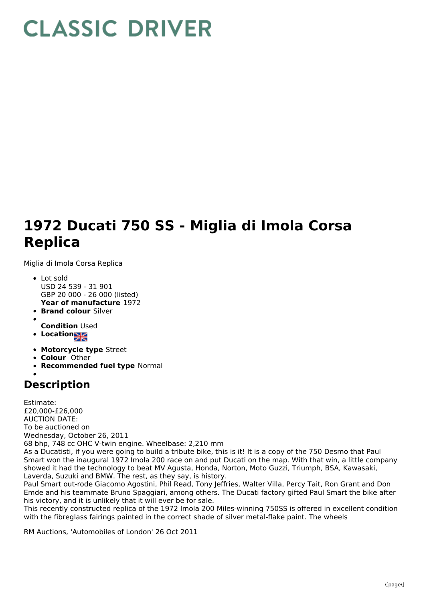## **CLASSIC DRIVER**

## **1972 Ducati 750 SS - Miglia di Imola Corsa Replica**

Miglia di Imola Corsa Replica

- **Year of manufacture** 1972 Lot sold USD 24 539 - 31 901 GBP 20 000 - 26 000 (listed)
- **Brand colour** Silver
- 
- **Condition** Used
- **Location**
- 
- **Motorcycle type** Street
- **Colour** Other
- **Recommended fuel type** Normal

## **Description**

Estimate: £20,000-£26,000 AUCTION DATE: To be auctioned on Wednesday, October 26, 2011 68 bhp, 748 cc OHC V-twin engine. Wheelbase: 2,210 mm As a Ducatisti, if you were going to build a tribute bike, this is it! It is a copy of the 750 Desmo that Paul Smart won the inaugural 1972 Imola 200 race on and put Ducati on the map. With that win, a little company showed it had the technology to beat MV Agusta, Honda, Norton, Moto Guzzi, Triumph, BSA, Kawasaki, Laverda, Suzuki and BMW. The rest, as they say, is history. Paul Smart out-rode Giacomo Agostini, Phil Read, Tony Jeffries, Walter Villa, Percy Tait, Ron Grant and Don

Emde and his teammate Bruno Spaggiari, among others. The Ducati factory gifted Paul Smart the bike after his victory, and it is unlikely that it will ever be for sale.

This recently constructed replica of the 1972 Imola 200 Miles-winning 750SS is offered in excellent condition with the fibreglass fairings painted in the correct shade of silver metal-flake paint. The wheels

RM Auctions, 'Automobiles of London' 26 Oct 2011